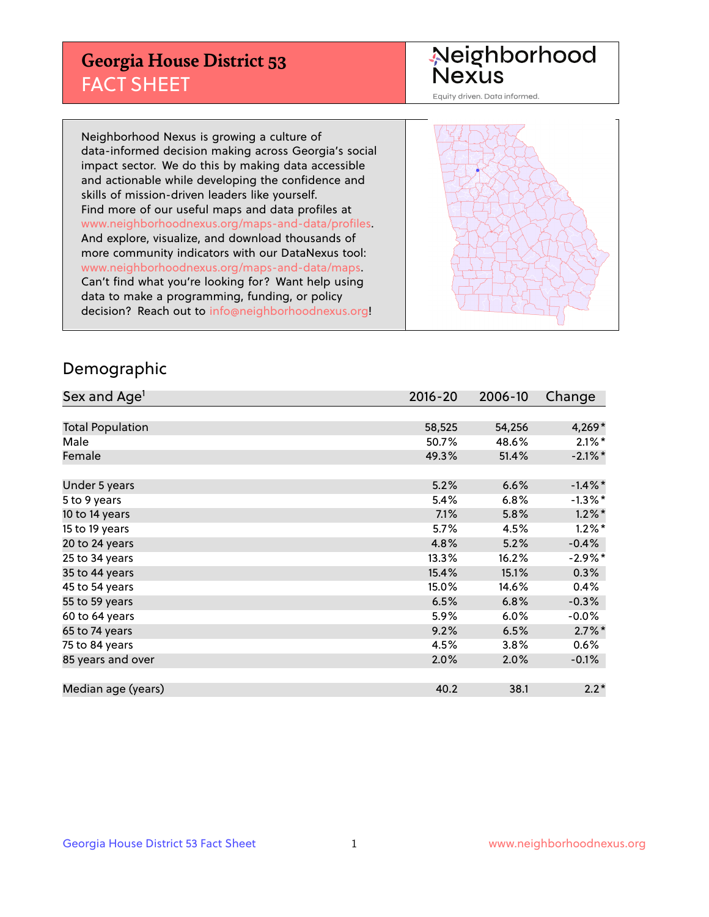## **Georgia House District 53** FACT SHEET

# Neighborhood<br>Nexus

Equity driven. Data informed.

Neighborhood Nexus is growing a culture of data-informed decision making across Georgia's social impact sector. We do this by making data accessible and actionable while developing the confidence and skills of mission-driven leaders like yourself. Find more of our useful maps and data profiles at www.neighborhoodnexus.org/maps-and-data/profiles. And explore, visualize, and download thousands of more community indicators with our DataNexus tool: www.neighborhoodnexus.org/maps-and-data/maps. Can't find what you're looking for? Want help using data to make a programming, funding, or policy decision? Reach out to [info@neighborhoodnexus.org!](mailto:info@neighborhoodnexus.org)



#### Demographic

| Sex and Age <sup>1</sup> | $2016 - 20$ | 2006-10 | Change     |
|--------------------------|-------------|---------|------------|
|                          |             |         |            |
| <b>Total Population</b>  | 58,525      | 54,256  | $4,269*$   |
| Male                     | 50.7%       | 48.6%   | $2.1\%$ *  |
| Female                   | 49.3%       | 51.4%   | $-2.1\%$ * |
|                          |             |         |            |
| Under 5 years            | 5.2%        | 6.6%    | $-1.4\%$ * |
| 5 to 9 years             | 5.4%        | 6.8%    | $-1.3\%$ * |
| 10 to 14 years           | 7.1%        | 5.8%    | $1.2\%$ *  |
| 15 to 19 years           | 5.7%        | 4.5%    | $1.2\%$ *  |
| 20 to 24 years           | 4.8%        | 5.2%    | $-0.4%$    |
| 25 to 34 years           | 13.3%       | 16.2%   | $-2.9\%$ * |
| 35 to 44 years           | 15.4%       | 15.1%   | 0.3%       |
| 45 to 54 years           | 15.0%       | 14.6%   | 0.4%       |
| 55 to 59 years           | 6.5%        | 6.8%    | $-0.3%$    |
| 60 to 64 years           | 5.9%        | 6.0%    | $-0.0%$    |
| 65 to 74 years           | 9.2%        | 6.5%    | $2.7\%$ *  |
| 75 to 84 years           | 4.5%        | 3.8%    | $0.6\%$    |
| 85 years and over        | 2.0%        | 2.0%    | $-0.1\%$   |
|                          |             |         |            |
| Median age (years)       | 40.2        | 38.1    | $2.2*$     |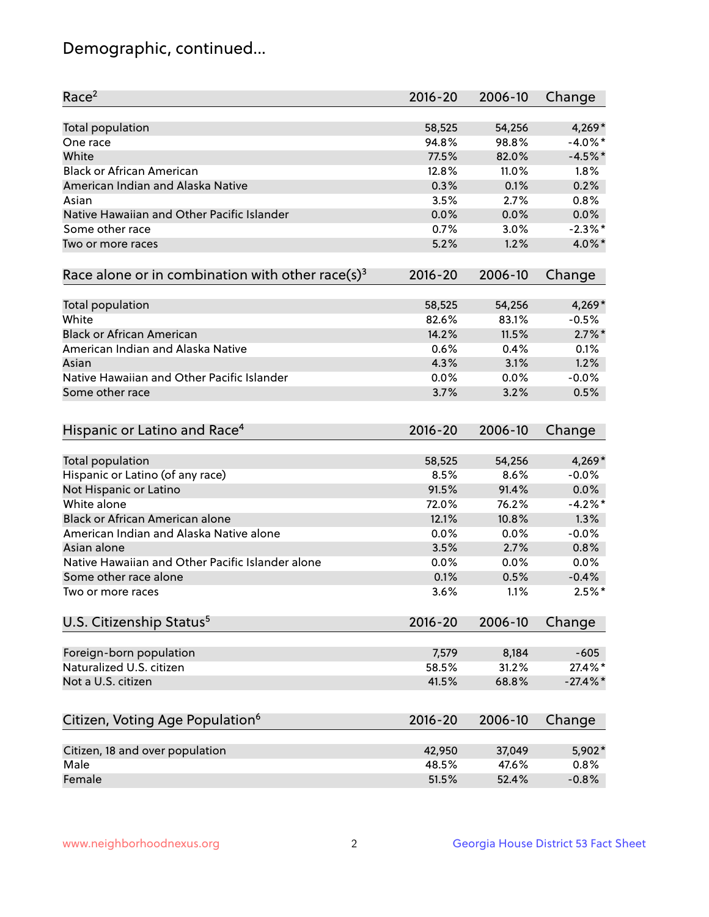## Demographic, continued...

| Race <sup>2</sup>                                            | $2016 - 20$ | 2006-10 | Change      |
|--------------------------------------------------------------|-------------|---------|-------------|
| <b>Total population</b>                                      | 58,525      | 54,256  | $4,269*$    |
| One race                                                     | 94.8%       | 98.8%   | $-4.0\%$ *  |
| White                                                        | 77.5%       | 82.0%   | $-4.5%$ *   |
| <b>Black or African American</b>                             | 12.8%       | 11.0%   | 1.8%        |
| American Indian and Alaska Native                            | 0.3%        | 0.1%    | 0.2%        |
| Asian                                                        | 3.5%        | 2.7%    | 0.8%        |
| Native Hawaiian and Other Pacific Islander                   | 0.0%        | 0.0%    | 0.0%        |
| Some other race                                              | 0.7%        | 3.0%    | $-2.3\%$ *  |
| Two or more races                                            | 5.2%        | 1.2%    | 4.0%*       |
| Race alone or in combination with other race(s) <sup>3</sup> | $2016 - 20$ | 2006-10 | Change      |
| Total population                                             | 58,525      | 54,256  | 4,269*      |
| White                                                        | 82.6%       | 83.1%   | $-0.5%$     |
| <b>Black or African American</b>                             | 14.2%       | 11.5%   | $2.7\%$ *   |
| American Indian and Alaska Native                            | 0.6%        | 0.4%    | 0.1%        |
| Asian                                                        | 4.3%        | 3.1%    | 1.2%        |
| Native Hawaiian and Other Pacific Islander                   | 0.0%        | 0.0%    | $-0.0%$     |
| Some other race                                              | 3.7%        | 3.2%    | 0.5%        |
| Hispanic or Latino and Race <sup>4</sup>                     | $2016 - 20$ | 2006-10 | Change      |
| Total population                                             | 58,525      | 54,256  | $4,269*$    |
| Hispanic or Latino (of any race)                             | 8.5%        | 8.6%    | $-0.0%$     |
| Not Hispanic or Latino                                       | 91.5%       | 91.4%   | 0.0%        |
| White alone                                                  | 72.0%       | 76.2%   | $-4.2%$     |
| Black or African American alone                              | 12.1%       | 10.8%   | 1.3%        |
| American Indian and Alaska Native alone                      | 0.0%        | 0.0%    | $-0.0%$     |
| Asian alone                                                  | 3.5%        | 2.7%    | 0.8%        |
| Native Hawaiian and Other Pacific Islander alone             | $0.0\%$     | 0.0%    | 0.0%        |
| Some other race alone                                        | 0.1%        | 0.5%    | $-0.4%$     |
| Two or more races                                            | 3.6%        | 1.1%    | $2.5%$ *    |
| U.S. Citizenship Status <sup>5</sup>                         | $2016 - 20$ | 2006-10 | Change      |
| Foreign-born population                                      | 7,579       | 8,184   | $-605$      |
| Naturalized U.S. citizen                                     | 58.5%       | 31.2%   | 27.4%*      |
| Not a U.S. citizen                                           | 41.5%       | 68.8%   | $-27.4\%$ * |
|                                                              |             |         |             |
| Citizen, Voting Age Population <sup>6</sup>                  | $2016 - 20$ | 2006-10 | Change      |
| Citizen, 18 and over population                              | 42,950      | 37,049  | 5,902*      |
| Male                                                         | 48.5%       | 47.6%   | 0.8%        |
| Female                                                       | 51.5%       | 52.4%   | $-0.8%$     |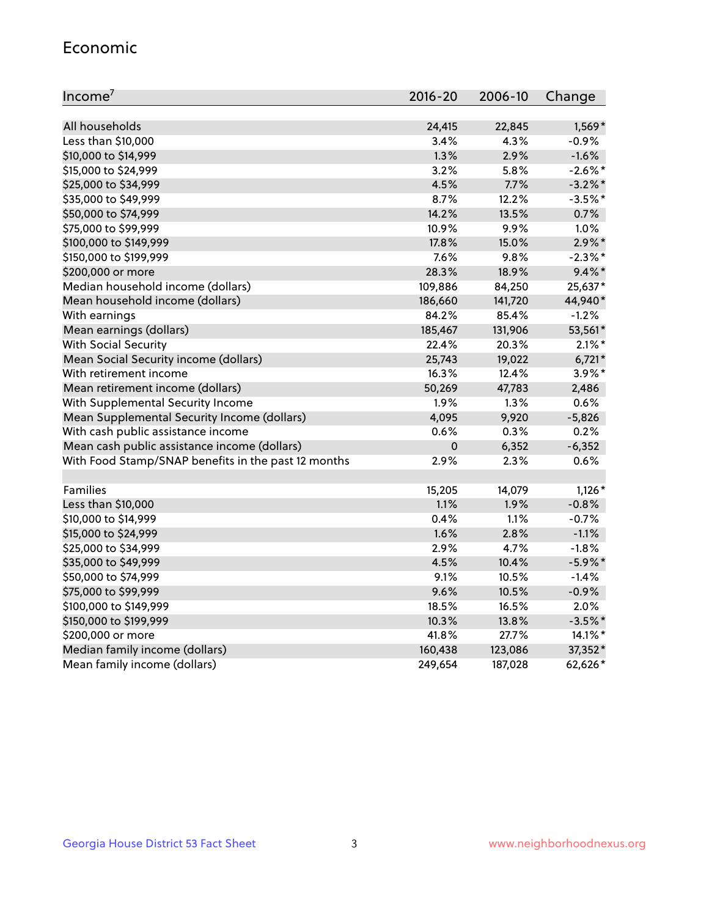#### Economic

| Income <sup>7</sup>                                 | $2016 - 20$ | 2006-10 | Change     |
|-----------------------------------------------------|-------------|---------|------------|
|                                                     |             |         |            |
| All households                                      | 24,415      | 22,845  | 1,569*     |
| Less than \$10,000                                  | 3.4%        | 4.3%    | $-0.9%$    |
| \$10,000 to \$14,999                                | 1.3%        | 2.9%    | $-1.6%$    |
| \$15,000 to \$24,999                                | 3.2%        | 5.8%    | $-2.6\%$ * |
| \$25,000 to \$34,999                                | 4.5%        | 7.7%    | $-3.2\%$ * |
| \$35,000 to \$49,999                                | 8.7%        | 12.2%   | $-3.5%$ *  |
| \$50,000 to \$74,999                                | 14.2%       | 13.5%   | 0.7%       |
| \$75,000 to \$99,999                                | 10.9%       | 9.9%    | 1.0%       |
| \$100,000 to \$149,999                              | 17.8%       | 15.0%   | $2.9\%$ *  |
| \$150,000 to \$199,999                              | 7.6%        | 9.8%    | $-2.3\%$ * |
| \$200,000 or more                                   | 28.3%       | 18.9%   | $9.4\%$ *  |
| Median household income (dollars)                   | 109,886     | 84,250  | 25,637*    |
| Mean household income (dollars)                     | 186,660     | 141,720 | 44,940*    |
| With earnings                                       | 84.2%       | 85.4%   | $-1.2%$    |
| Mean earnings (dollars)                             | 185,467     | 131,906 | 53,561*    |
| <b>With Social Security</b>                         | 22.4%       | 20.3%   | $2.1\%$ *  |
| Mean Social Security income (dollars)               | 25,743      | 19,022  | $6,721*$   |
| With retirement income                              | 16.3%       | 12.4%   | 3.9%*      |
| Mean retirement income (dollars)                    | 50,269      | 47,783  | 2,486      |
| With Supplemental Security Income                   | 1.9%        | $1.3\%$ | 0.6%       |
| Mean Supplemental Security Income (dollars)         | 4,095       | 9,920   | $-5,826$   |
| With cash public assistance income                  | 0.6%        | 0.3%    | 0.2%       |
| Mean cash public assistance income (dollars)        | $\pmb{0}$   | 6,352   | $-6,352$   |
| With Food Stamp/SNAP benefits in the past 12 months | 2.9%        | 2.3%    | 0.6%       |
|                                                     |             |         |            |
| Families                                            | 15,205      | 14,079  | $1,126*$   |
| Less than \$10,000                                  | 1.1%        | 1.9%    | $-0.8%$    |
| \$10,000 to \$14,999                                | 0.4%        | 1.1%    | $-0.7%$    |
| \$15,000 to \$24,999                                | 1.6%        | 2.8%    | $-1.1%$    |
| \$25,000 to \$34,999                                | 2.9%        | 4.7%    | $-1.8%$    |
| \$35,000 to \$49,999                                | 4.5%        | 10.4%   | $-5.9\%$ * |
| \$50,000 to \$74,999                                | 9.1%        | 10.5%   | $-1.4%$    |
| \$75,000 to \$99,999                                | 9.6%        | 10.5%   | $-0.9%$    |
| \$100,000 to \$149,999                              | 18.5%       | 16.5%   | 2.0%       |
| \$150,000 to \$199,999                              | 10.3%       | 13.8%   | $-3.5%$ *  |
| \$200,000 or more                                   | 41.8%       | 27.7%   | 14.1%*     |
| Median family income (dollars)                      | 160,438     | 123,086 | 37,352*    |
| Mean family income (dollars)                        | 249,654     | 187,028 | 62,626*    |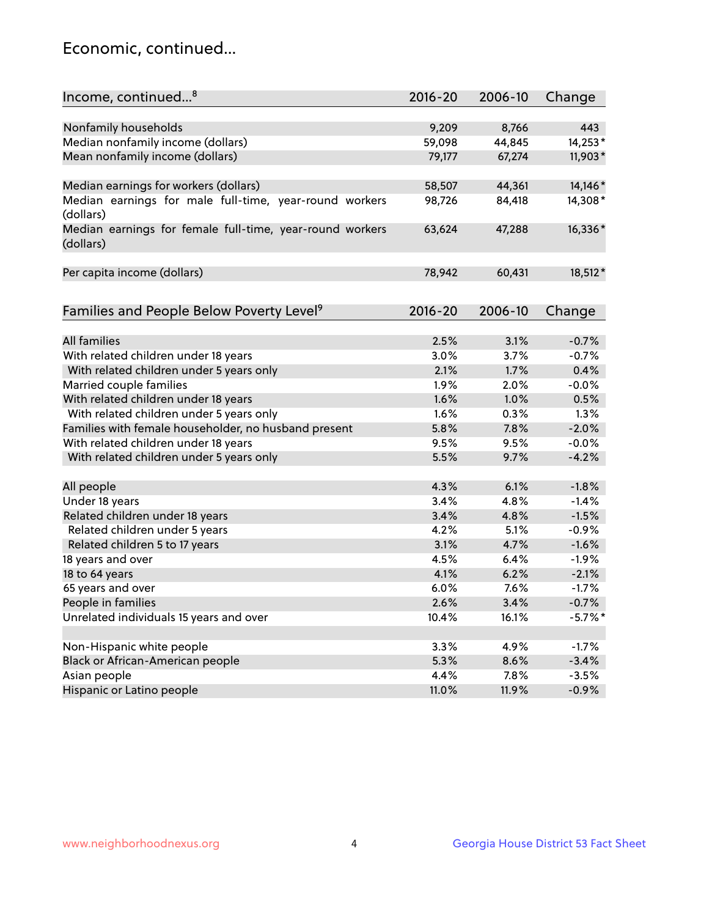## Economic, continued...

| Income, continued <sup>8</sup>                           | 2016-20 | 2006-10 | Change     |
|----------------------------------------------------------|---------|---------|------------|
|                                                          |         |         |            |
| Nonfamily households                                     | 9,209   | 8,766   | 443        |
| Median nonfamily income (dollars)                        | 59,098  | 44,845  | 14,253*    |
| Mean nonfamily income (dollars)                          | 79,177  | 67,274  | 11,903*    |
|                                                          |         |         |            |
| Median earnings for workers (dollars)                    | 58,507  | 44,361  | 14,146*    |
| Median earnings for male full-time, year-round workers   | 98,726  | 84,418  | 14,308*    |
| (dollars)                                                |         |         |            |
| Median earnings for female full-time, year-round workers | 63,624  | 47,288  | 16,336*    |
| (dollars)                                                |         |         |            |
|                                                          |         |         |            |
| Per capita income (dollars)                              | 78,942  | 60,431  | 18,512*    |
|                                                          |         |         |            |
| Families and People Below Poverty Level <sup>9</sup>     | 2016-20 | 2006-10 | Change     |
|                                                          |         |         |            |
| <b>All families</b>                                      | 2.5%    | 3.1%    | $-0.7%$    |
| With related children under 18 years                     | 3.0%    | 3.7%    | $-0.7%$    |
| With related children under 5 years only                 | 2.1%    | 1.7%    | 0.4%       |
| Married couple families                                  | 1.9%    | 2.0%    | $-0.0%$    |
| With related children under 18 years                     | 1.6%    | 1.0%    | 0.5%       |
| With related children under 5 years only                 | 1.6%    | 0.3%    | 1.3%       |
| Families with female householder, no husband present     | 5.8%    | 7.8%    | $-2.0%$    |
| With related children under 18 years                     | 9.5%    | 9.5%    | $-0.0%$    |
| With related children under 5 years only                 | 5.5%    | 9.7%    | $-4.2%$    |
|                                                          |         |         |            |
| All people                                               | 4.3%    | 6.1%    | $-1.8%$    |
| Under 18 years                                           | 3.4%    | 4.8%    | $-1.4%$    |
| Related children under 18 years                          | 3.4%    | 4.8%    | $-1.5%$    |
| Related children under 5 years                           | 4.2%    | 5.1%    | $-0.9%$    |
| Related children 5 to 17 years                           | 3.1%    | 4.7%    | $-1.6%$    |
| 18 years and over                                        | 4.5%    | 6.4%    | $-1.9%$    |
| 18 to 64 years                                           | 4.1%    | 6.2%    | $-2.1%$    |
| 65 years and over                                        | 6.0%    | 7.6%    | $-1.7%$    |
| People in families                                       | 2.6%    | 3.4%    | $-0.7%$    |
| Unrelated individuals 15 years and over                  | 10.4%   | 16.1%   | $-5.7\%$ * |
|                                                          |         |         |            |
| Non-Hispanic white people                                | 3.3%    | 4.9%    | $-1.7%$    |
| Black or African-American people                         | 5.3%    | 8.6%    | $-3.4%$    |
| Asian people                                             | 4.4%    | 7.8%    | $-3.5%$    |
| Hispanic or Latino people                                | 11.0%   | 11.9%   | $-0.9%$    |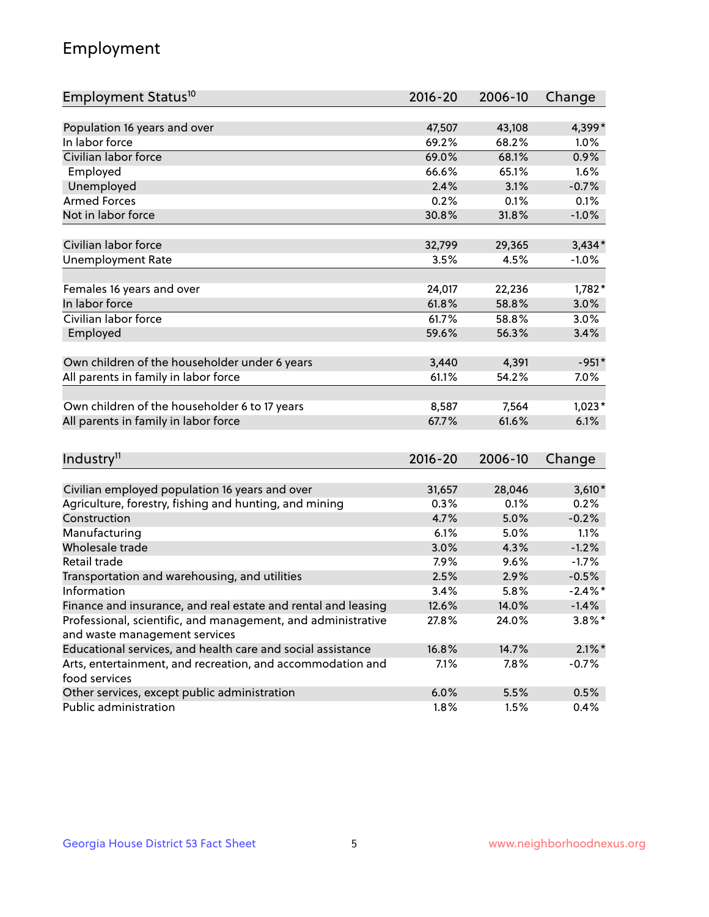## Employment

| Employment Status <sup>10</sup>                                                                                               | $2016 - 20$   | 2006-10       | Change               |
|-------------------------------------------------------------------------------------------------------------------------------|---------------|---------------|----------------------|
|                                                                                                                               |               |               |                      |
| Population 16 years and over                                                                                                  | 47,507        | 43,108        | 4,399*               |
| In labor force                                                                                                                | 69.2%         | 68.2%         | 1.0%                 |
| Civilian labor force                                                                                                          | 69.0%         | 68.1%         | 0.9%                 |
| Employed                                                                                                                      | 66.6%         | 65.1%         | 1.6%                 |
| Unemployed                                                                                                                    | 2.4%          | 3.1%          | $-0.7%$              |
| <b>Armed Forces</b>                                                                                                           | 0.2%          | 0.1%          | 0.1%                 |
| Not in labor force                                                                                                            | 30.8%         | 31.8%         | $-1.0%$              |
|                                                                                                                               |               |               |                      |
| Civilian labor force                                                                                                          | 32,799        | 29,365        | $3,434*$             |
| <b>Unemployment Rate</b>                                                                                                      | 3.5%          | 4.5%          | $-1.0%$              |
| Females 16 years and over                                                                                                     | 24,017        | 22,236        | $1,782*$             |
| In labor force                                                                                                                | 61.8%         | 58.8%         | 3.0%                 |
| Civilian labor force                                                                                                          | 61.7%         | 58.8%         | 3.0%                 |
| Employed                                                                                                                      | 59.6%         | 56.3%         | 3.4%                 |
|                                                                                                                               |               |               |                      |
| Own children of the householder under 6 years                                                                                 | 3,440         | 4,391         | $-951*$              |
| All parents in family in labor force                                                                                          | 61.1%         | 54.2%         | 7.0%                 |
|                                                                                                                               |               |               |                      |
| Own children of the householder 6 to 17 years                                                                                 | 8,587         | 7,564         | $1,023*$             |
| All parents in family in labor force                                                                                          | 67.7%         | 61.6%         | 6.1%                 |
|                                                                                                                               |               |               |                      |
| Industry <sup>11</sup>                                                                                                        | $2016 - 20$   | 2006-10       | Change               |
|                                                                                                                               |               |               |                      |
| Civilian employed population 16 years and over                                                                                | 31,657        | 28,046        | $3,610*$             |
| Agriculture, forestry, fishing and hunting, and mining                                                                        | 0.3%          | 0.1%          | 0.2%                 |
| Construction                                                                                                                  | 4.7%          | 5.0%          | $-0.2%$              |
| Manufacturing<br>Wholesale trade                                                                                              | 6.1%          | 5.0%          | 1.1%                 |
| Retail trade                                                                                                                  | 3.0%          | 4.3%          | $-1.2%$              |
|                                                                                                                               | 7.9%<br>2.5%  | 9.6%<br>2.9%  | $-1.7%$<br>$-0.5%$   |
| Transportation and warehousing, and utilities<br>Information                                                                  |               |               | $-2.4\%$ *           |
|                                                                                                                               | 3.4%<br>12.6% | 5.8%<br>14.0% |                      |
| Finance and insurance, and real estate and rental and leasing<br>Professional, scientific, and management, and administrative |               |               | $-1.4%$<br>$3.8\%$ * |
| and waste management services                                                                                                 | 27.8%         | 24.0%         |                      |
| Educational services, and health care and social assistance                                                                   | 16.8%         | 14.7%         | $2.1\%$ *            |
| Arts, entertainment, and recreation, and accommodation and                                                                    | 7.1%          | 7.8%          | $-0.7%$              |
| food services                                                                                                                 |               |               |                      |
| Other services, except public administration                                                                                  | 6.0%          | 5.5%          | 0.5%                 |
| Public administration                                                                                                         | 1.8%          | 1.5%          | 0.4%                 |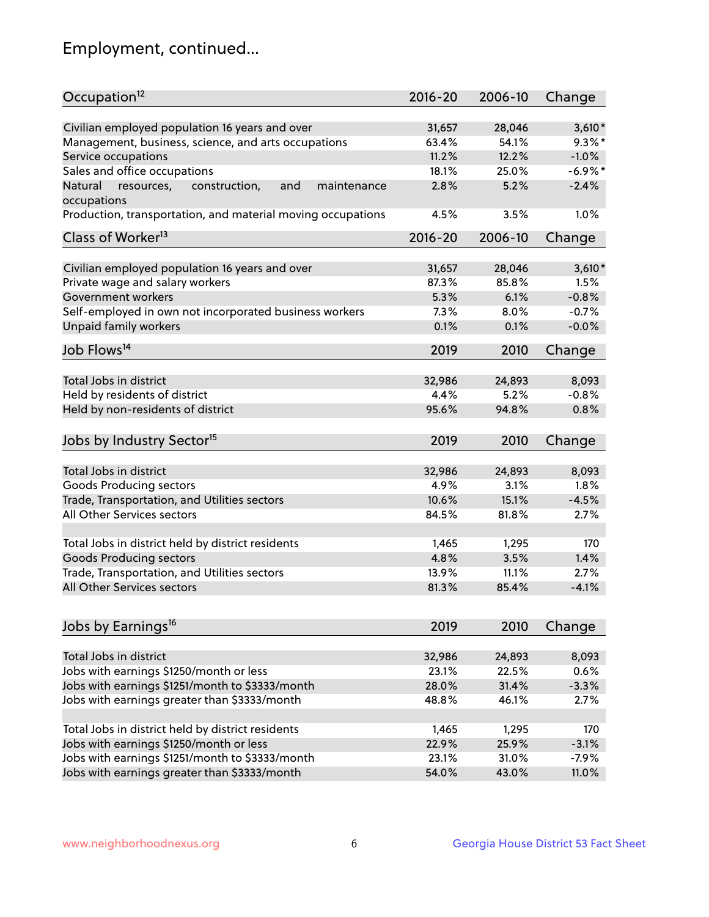## Employment, continued...

| Occupation <sup>12</sup>                                    | $2016 - 20$ | 2006-10 | Change    |
|-------------------------------------------------------------|-------------|---------|-----------|
| Civilian employed population 16 years and over              | 31,657      | 28,046  | $3,610*$  |
| Management, business, science, and arts occupations         | 63.4%       | 54.1%   | $9.3\%$ * |
| Service occupations                                         | 11.2%       | 12.2%   | $-1.0%$   |
| Sales and office occupations                                | 18.1%       | 25.0%   | $-6.9%$ * |
| and<br>maintenance<br>Natural                               | 2.8%        | 5.2%    | $-2.4%$   |
| resources,<br>construction,<br>occupations                  |             |         |           |
| Production, transportation, and material moving occupations | 4.5%        | 3.5%    | 1.0%      |
| Class of Worker <sup>13</sup>                               | $2016 - 20$ | 2006-10 | Change    |
|                                                             | 31,657      | 28,046  | $3,610*$  |
| Civilian employed population 16 years and over              |             |         |           |
| Private wage and salary workers                             | 87.3%       | 85.8%   | 1.5%      |
| Government workers                                          | 5.3%        | 6.1%    | $-0.8%$   |
| Self-employed in own not incorporated business workers      | 7.3%        | 8.0%    | $-0.7%$   |
| Unpaid family workers                                       | 0.1%        | 0.1%    | $-0.0%$   |
| Job Flows <sup>14</sup>                                     | 2019        | 2010    | Change    |
|                                                             |             |         |           |
| Total Jobs in district                                      | 32,986      | 24,893  | 8,093     |
| Held by residents of district                               | 4.4%        | 5.2%    | $-0.8%$   |
| Held by non-residents of district                           | 95.6%       | 94.8%   | 0.8%      |
| Jobs by Industry Sector <sup>15</sup>                       | 2019        | 2010    | Change    |
| Total Jobs in district                                      |             |         |           |
|                                                             | 32,986      | 24,893  | 8,093     |
| Goods Producing sectors                                     | 4.9%        | 3.1%    | 1.8%      |
| Trade, Transportation, and Utilities sectors                | 10.6%       | 15.1%   | $-4.5%$   |
| All Other Services sectors                                  | 84.5%       | 81.8%   | 2.7%      |
| Total Jobs in district held by district residents           | 1,465       | 1,295   | 170       |
| <b>Goods Producing sectors</b>                              | 4.8%        | 3.5%    | 1.4%      |
| Trade, Transportation, and Utilities sectors                | 13.9%       | 11.1%   | 2.7%      |
| All Other Services sectors                                  | 81.3%       | 85.4%   | $-4.1%$   |
|                                                             |             |         |           |
| Jobs by Earnings <sup>16</sup>                              | 2019        | 2010    | Change    |
|                                                             |             |         |           |
| Total Jobs in district                                      | 32,986      | 24,893  | 8,093     |
| Jobs with earnings \$1250/month or less                     | 23.1%       | 22.5%   | 0.6%      |
| Jobs with earnings \$1251/month to \$3333/month             | 28.0%       | 31.4%   | $-3.3%$   |
| Jobs with earnings greater than \$3333/month                | 48.8%       | 46.1%   | 2.7%      |
| Total Jobs in district held by district residents           | 1,465       | 1,295   | 170       |
| Jobs with earnings \$1250/month or less                     | 22.9%       | 25.9%   | $-3.1%$   |
| Jobs with earnings \$1251/month to \$3333/month             | 23.1%       | 31.0%   | $-7.9%$   |
| Jobs with earnings greater than \$3333/month                | 54.0%       | 43.0%   | 11.0%     |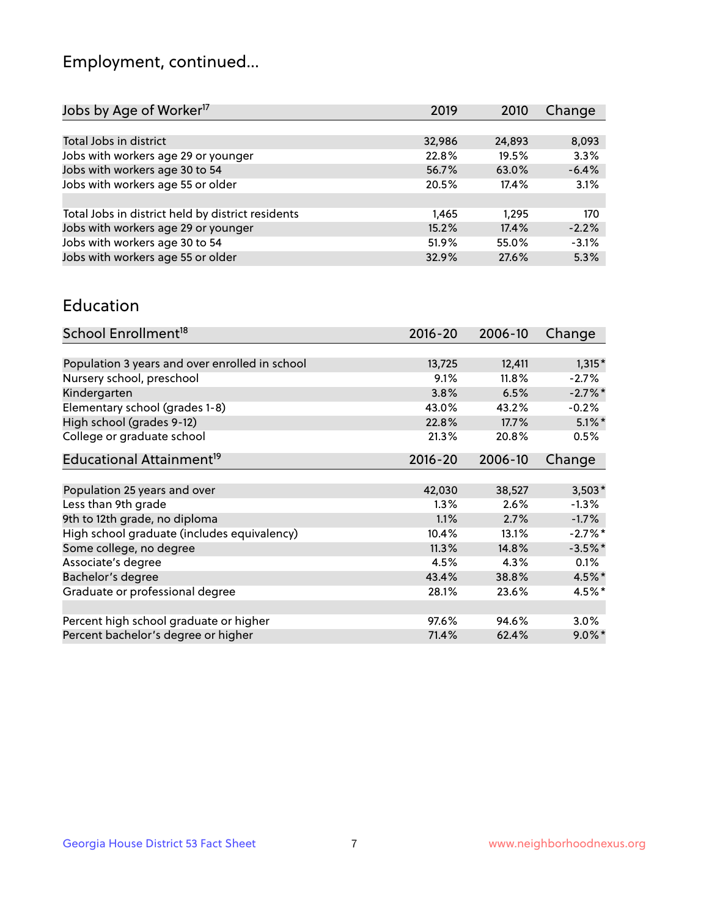## Employment, continued...

| Jobs by Age of Worker <sup>17</sup>               | 2019   | 2010   | Change  |
|---------------------------------------------------|--------|--------|---------|
|                                                   |        |        |         |
| Total Jobs in district                            | 32,986 | 24,893 | 8,093   |
| Jobs with workers age 29 or younger               | 22.8%  | 19.5%  | 3.3%    |
| Jobs with workers age 30 to 54                    | 56.7%  | 63.0%  | $-6.4%$ |
| Jobs with workers age 55 or older                 | 20.5%  | 17.4%  | 3.1%    |
|                                                   |        |        |         |
| Total Jobs in district held by district residents | 1,465  | 1.295  | 170     |
| Jobs with workers age 29 or younger               | 15.2%  | 17.4%  | $-2.2%$ |
| Jobs with workers age 30 to 54                    | 51.9%  | 55.0%  | $-3.1%$ |
| Jobs with workers age 55 or older                 | 32.9%  | 27.6%  | 5.3%    |

#### Education

| School Enrollment <sup>18</sup>                | $2016 - 20$ | 2006-10  | Change    |
|------------------------------------------------|-------------|----------|-----------|
|                                                |             |          |           |
| Population 3 years and over enrolled in school | 13,725      | 12,411   | $1,315*$  |
| Nursery school, preschool                      | 9.1%        | $11.8\%$ | $-2.7\%$  |
| Kindergarten                                   | 3.8%        | 6.5%     | $-2.7%$ * |
| Elementary school (grades 1-8)                 | 43.0%       | 43.2%    | $-0.2%$   |
| High school (grades 9-12)                      | 22.8%       | 17.7%    | $5.1\%$ * |
| College or graduate school                     | 21.3%       | 20.8%    | 0.5%      |
| Educational Attainment <sup>19</sup>           | $2016 - 20$ | 2006-10  | Change    |
|                                                |             |          |           |
| Population 25 years and over                   | 42,030      | 38,527   | $3,503*$  |
| Less than 9th grade                            | $1.3\%$     | 2.6%     | $-1.3\%$  |
| 9th to 12th grade, no diploma                  | 1.1%        | 2.7%     | $-1.7%$   |
| High school graduate (includes equivalency)    | 10.4%       | 13.1%    | $-2.7%$ * |
| Some college, no degree                        | 11.3%       | 14.8%    | $-3.5%$ * |
| Associate's degree                             | 4.5%        | 4.3%     | 0.1%      |
| Bachelor's degree                              | 43.4%       | 38.8%    | 4.5%*     |
| Graduate or professional degree                | 28.1%       | 23.6%    | 4.5%*     |
|                                                |             |          |           |
| Percent high school graduate or higher         | 97.6%       | 94.6%    | $3.0\%$   |
| Percent bachelor's degree or higher            | 71.4%       | 62.4%    | $9.0\%$ * |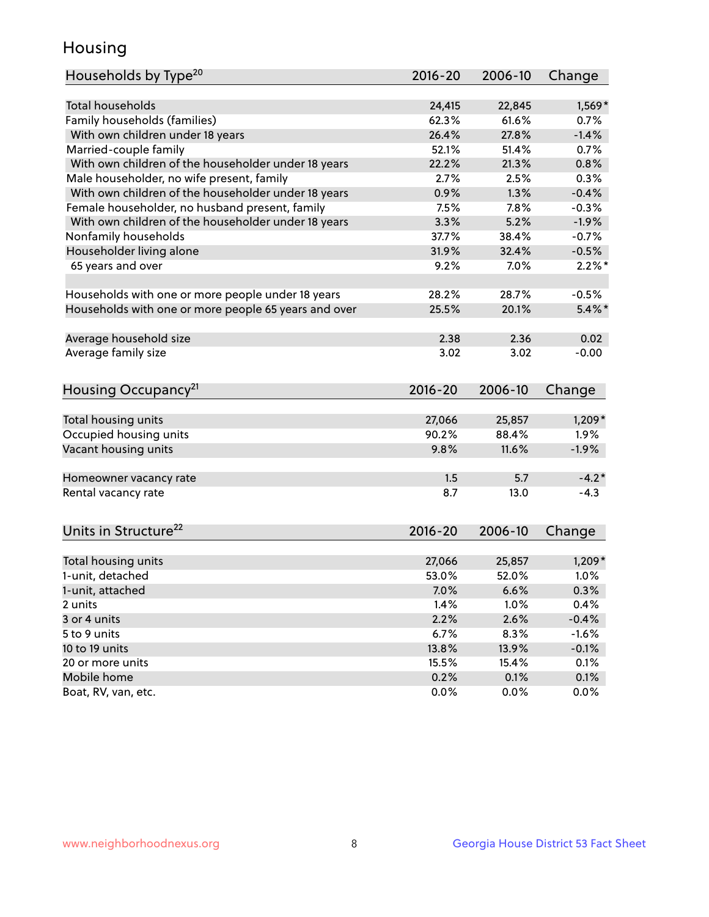## Housing

| <b>Total households</b><br>24,415<br>$1,569*$<br>22,845                             |
|-------------------------------------------------------------------------------------|
| Family households (families)<br>62.3%<br>61.6%<br>0.7%                              |
| 26.4%<br>27.8%<br>$-1.4%$<br>With own children under 18 years                       |
| Married-couple family<br>52.1%<br>51.4%<br>0.7%                                     |
| With own children of the householder under 18 years<br>22.2%<br>21.3%<br>0.8%       |
| Male householder, no wife present, family<br>2.7%<br>2.5%<br>0.3%                   |
| With own children of the householder under 18 years<br>$-0.4%$<br>0.9%<br>1.3%      |
| Female householder, no husband present, family<br>7.5%<br>$-0.3%$<br>7.8%           |
| With own children of the householder under 18 years<br>3.3%<br>5.2%<br>$-1.9%$      |
| Nonfamily households<br>37.7%<br>38.4%<br>$-0.7%$                                   |
| Householder living alone<br>31.9%<br>32.4%<br>$-0.5%$                               |
| 9.2%<br>7.0%<br>$2.2\%$ *<br>65 years and over                                      |
|                                                                                     |
| Households with one or more people under 18 years<br>28.2%<br>28.7%<br>$-0.5%$      |
| Households with one or more people 65 years and over<br>25.5%<br>20.1%<br>$5.4\%$ * |
|                                                                                     |
| Average household size<br>2.38<br>2.36<br>0.02                                      |
| Average family size<br>3.02<br>3.02<br>$-0.00$                                      |
|                                                                                     |
| Housing Occupancy <sup>21</sup><br>2016-20<br>2006-10<br>Change                     |
|                                                                                     |
| Total housing units<br>27,066<br>25,857<br>$1,209*$                                 |
| Occupied housing units<br>90.2%<br>1.9%<br>88.4%                                    |
| Vacant housing units<br>9.8%<br>11.6%<br>$-1.9%$                                    |
|                                                                                     |
| $-4.2*$<br>1.5<br>5.7<br>Homeowner vacancy rate                                     |
| Rental vacancy rate<br>8.7<br>13.0<br>$-4.3$                                        |
|                                                                                     |
| Units in Structure <sup>22</sup><br>$2016 - 20$<br>2006-10<br>Change                |
|                                                                                     |
| Total housing units<br>27,066<br>25,857<br>$1,209*$                                 |
| 1-unit, detached<br>53.0%<br>52.0%<br>1.0%                                          |
| 7.0%<br>6.6%<br>0.3%<br>1-unit, attached                                            |
| 1.4%<br>1.0%<br>0.4%<br>2 units                                                     |
| 2.2%<br>2.6%<br>$-0.4%$<br>3 or 4 units                                             |
| 5 to 9 units<br>6.7%<br>8.3%<br>$-1.6%$                                             |
| 10 to 19 units<br>13.8%<br>13.9%<br>$-0.1%$                                         |
| 20 or more units<br>15.5%<br>15.4%<br>0.1%                                          |
| Mobile home<br>0.2%<br>0.1%<br>0.1%                                                 |
| Boat, RV, van, etc.<br>0.0%<br>0.0%<br>0.0%                                         |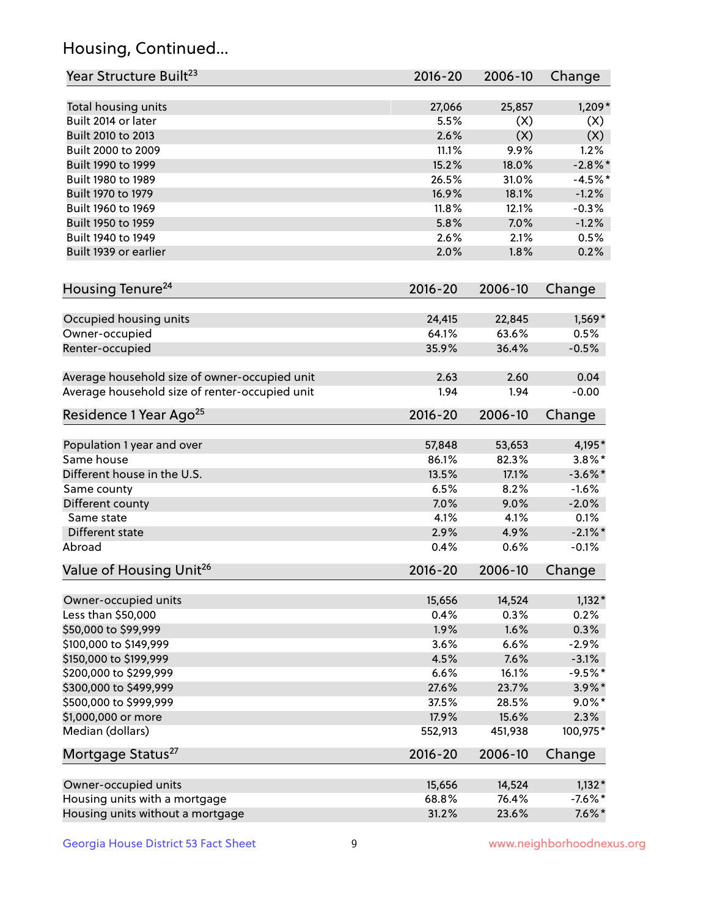## Housing, Continued...

| Year Structure Built <sup>23</sup>             | 2016-20     | 2006-10 | Change     |
|------------------------------------------------|-------------|---------|------------|
| Total housing units                            | 27,066      | 25,857  | $1,209*$   |
| Built 2014 or later                            | 5.5%        | (X)     | (X)        |
| Built 2010 to 2013                             | 2.6%        | (X)     | (X)        |
| Built 2000 to 2009                             | 11.1%       | 9.9%    | 1.2%       |
| Built 1990 to 1999                             | 15.2%       | 18.0%   | $-2.8\%$ * |
| Built 1980 to 1989                             | 26.5%       | 31.0%   | $-4.5%$    |
| Built 1970 to 1979                             | 16.9%       | 18.1%   | $-1.2%$    |
| Built 1960 to 1969                             | 11.8%       | 12.1%   | $-0.3%$    |
| Built 1950 to 1959                             | 5.8%        | 7.0%    | $-1.2%$    |
| Built 1940 to 1949                             | 2.6%        | 2.1%    | 0.5%       |
| Built 1939 or earlier                          | 2.0%        | 1.8%    | 0.2%       |
| Housing Tenure <sup>24</sup>                   | 2016-20     | 2006-10 | Change     |
|                                                |             |         |            |
| Occupied housing units                         | 24,415      | 22,845  | $1,569*$   |
| Owner-occupied                                 | 64.1%       | 63.6%   | 0.5%       |
| Renter-occupied                                | 35.9%       | 36.4%   | $-0.5%$    |
| Average household size of owner-occupied unit  | 2.63        | 2.60    | 0.04       |
| Average household size of renter-occupied unit | 1.94        | 1.94    | $-0.00$    |
| Residence 1 Year Ago <sup>25</sup>             | 2016-20     | 2006-10 | Change     |
| Population 1 year and over                     | 57,848      | 53,653  | 4,195*     |
| Same house                                     | 86.1%       | 82.3%   | $3.8\%$ *  |
| Different house in the U.S.                    | 13.5%       | 17.1%   | $-3.6\%$ * |
| Same county                                    | 6.5%        | 8.2%    | $-1.6%$    |
| Different county                               | 7.0%        | 9.0%    | $-2.0%$    |
| Same state                                     | 4.1%        | 4.1%    | 0.1%       |
| Different state                                | 2.9%        | 4.9%    | $-2.1\%$ * |
| Abroad                                         | 0.4%        | 0.6%    | $-0.1%$    |
| Value of Housing Unit <sup>26</sup>            | $2016 - 20$ | 2006-10 | Change     |
|                                                |             |         |            |
| Owner-occupied units                           | 15,656      | 14,524  | $1,132*$   |
| Less than \$50,000                             | 0.4%        | 0.3%    | 0.2%       |
| \$50,000 to \$99,999                           | 1.9%        | 1.6%    | 0.3%       |
| \$100,000 to \$149,999                         | 3.6%        | 6.6%    | $-2.9%$    |
| \$150,000 to \$199,999                         | 4.5%        | 7.6%    | $-3.1%$    |
| \$200,000 to \$299,999                         | 6.6%        | 16.1%   | $-9.5%$ *  |
| \$300,000 to \$499,999                         | 27.6%       | 23.7%   | $3.9\%$ *  |
| \$500,000 to \$999,999                         | 37.5%       | 28.5%   | $9.0\%$ *  |
| \$1,000,000 or more                            | 17.9%       | 15.6%   | 2.3%       |
| Median (dollars)                               | 552,913     | 451,938 | 100,975*   |
| Mortgage Status <sup>27</sup>                  | $2016 - 20$ | 2006-10 | Change     |
| Owner-occupied units                           | 15,656      | 14,524  | $1,132*$   |
| Housing units with a mortgage                  | 68.8%       | 76.4%   | $-7.6\%$ * |
| Housing units without a mortgage               | 31.2%       | 23.6%   | $7.6\%$ *  |
|                                                |             |         |            |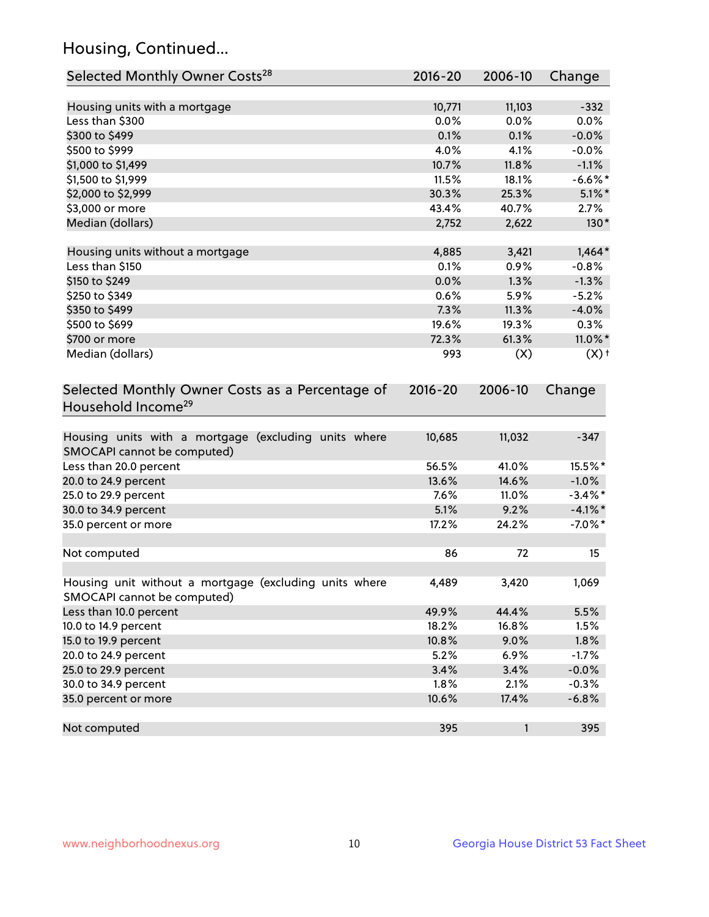## Housing, Continued...

| Selected Monthly Owner Costs <sup>28</sup>                                            | 2016-20 | 2006-10 | Change             |
|---------------------------------------------------------------------------------------|---------|---------|--------------------|
| Housing units with a mortgage                                                         | 10,771  | 11,103  | $-332$             |
| Less than \$300                                                                       | 0.0%    | 0.0%    | 0.0%               |
| \$300 to \$499                                                                        | 0.1%    | 0.1%    | $-0.0%$            |
| \$500 to \$999                                                                        | 4.0%    | 4.1%    | $-0.0%$            |
| \$1,000 to \$1,499                                                                    | 10.7%   | 11.8%   | $-1.1%$            |
| \$1,500 to \$1,999                                                                    | 11.5%   | 18.1%   | $-6.6\%$ *         |
| \$2,000 to \$2,999                                                                    | 30.3%   | 25.3%   | $5.1\%$ *          |
| \$3,000 or more                                                                       | 43.4%   | 40.7%   | 2.7%               |
| Median (dollars)                                                                      | 2,752   | 2,622   | $130*$             |
| Housing units without a mortgage                                                      | 4,885   | 3,421   | $1,464*$           |
| Less than \$150                                                                       | 0.1%    | 0.9%    | $-0.8%$            |
| \$150 to \$249                                                                        | 0.0%    | 1.3%    | $-1.3%$            |
| \$250 to \$349                                                                        | 0.6%    | 5.9%    | $-5.2%$            |
| \$350 to \$499                                                                        | 7.3%    | 11.3%   | $-4.0%$            |
| \$500 to \$699                                                                        | 19.6%   | 19.3%   | 0.3%               |
| \$700 or more                                                                         | 72.3%   | 61.3%   | 11.0%*             |
| Median (dollars)                                                                      | 993     | (X)     | $(X)$ <sup>+</sup> |
| Household Income <sup>29</sup>                                                        |         |         |                    |
| Housing units with a mortgage (excluding units where<br>SMOCAPI cannot be computed)   | 10,685  | 11,032  | $-347$             |
| Less than 20.0 percent                                                                | 56.5%   | 41.0%   | 15.5%*             |
| 20.0 to 24.9 percent                                                                  | 13.6%   | 14.6%   | $-1.0%$            |
| 25.0 to 29.9 percent                                                                  | 7.6%    | 11.0%   | $-3.4\%$ *         |
| 30.0 to 34.9 percent                                                                  | 5.1%    | 9.2%    | $-4.1\%$ *         |
| 35.0 percent or more                                                                  | 17.2%   | 24.2%   | $-7.0\%$ *         |
| Not computed                                                                          | 86      | 72      | 15                 |
| Housing unit without a mortgage (excluding units where<br>SMOCAPI cannot be computed) | 4,489   | 3,420   | 1,069              |
| Less than 10.0 percent                                                                | 49.9%   | 44.4%   | 5.5%               |
| 10.0 to 14.9 percent                                                                  | 18.2%   | 16.8%   | 1.5%               |
| 15.0 to 19.9 percent                                                                  | 10.8%   | 9.0%    | 1.8%               |
| 20.0 to 24.9 percent                                                                  | 5.2%    | 6.9%    | $-1.7%$            |
| 25.0 to 29.9 percent                                                                  | 3.4%    | 3.4%    | $-0.0%$            |
| 30.0 to 34.9 percent                                                                  | 1.8%    | 2.1%    | $-0.3%$            |
| 35.0 percent or more                                                                  | 10.6%   | 17.4%   | $-6.8%$            |
| Not computed                                                                          | 395     | 1       | 395                |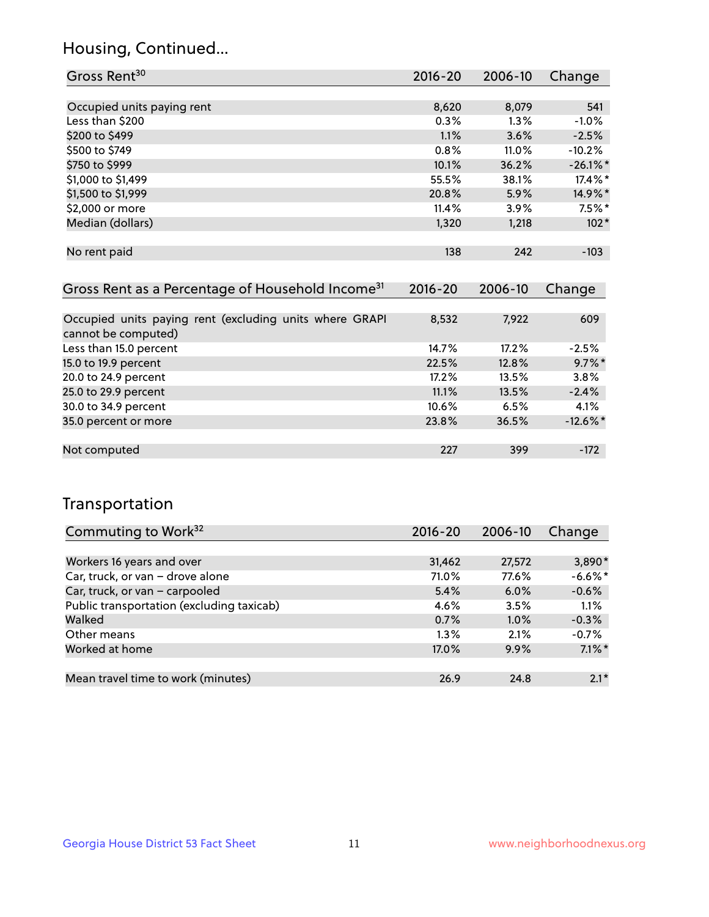### Housing, Continued...

| Gross Rent <sup>30</sup>                                     | 2016-20     | 2006-10 | Change      |
|--------------------------------------------------------------|-------------|---------|-------------|
|                                                              |             |         |             |
| Occupied units paying rent                                   | 8,620       | 8,079   | 541         |
| Less than \$200                                              | 0.3%        | $1.3\%$ | $-1.0%$     |
| \$200 to \$499                                               | 1.1%        | 3.6%    | $-2.5%$     |
| \$500 to \$749                                               | 0.8%        | 11.0%   | $-10.2%$    |
| \$750 to \$999                                               | 10.1%       | 36.2%   | $-26.1\%$ * |
| \$1,000 to \$1,499                                           | 55.5%       | 38.1%   | 17.4%*      |
| \$1,500 to \$1,999                                           | 20.8%       | 5.9%    | 14.9%*      |
| \$2,000 or more                                              | 11.4%       | 3.9%    | $7.5%$ *    |
| Median (dollars)                                             | 1,320       | 1,218   | $102*$      |
|                                                              |             |         |             |
| No rent paid                                                 | 138         | 242     | $-103$      |
|                                                              |             |         |             |
| Gross Rent as a Percentage of Household Income <sup>31</sup> | $2016 - 20$ | 2006-10 | Change      |

| Occupied units paying rent (excluding units where GRAPI | 8,532 | 7,922 | 609         |
|---------------------------------------------------------|-------|-------|-------------|
| cannot be computed)                                     |       |       |             |
| Less than 15.0 percent                                  | 14.7% | 17.2% | $-2.5%$     |
| 15.0 to 19.9 percent                                    | 22.5% | 12.8% | $9.7\%$ *   |
| 20.0 to 24.9 percent                                    | 17.2% | 13.5% | 3.8%        |
| 25.0 to 29.9 percent                                    | 11.1% | 13.5% | $-2.4%$     |
| 30.0 to 34.9 percent                                    | 10.6% | 6.5%  | 4.1%        |
| 35.0 percent or more                                    | 23.8% | 36.5% | $-12.6\%$ * |
|                                                         |       |       |             |
| Not computed                                            | 227   | 399   | $-172$      |

### Transportation

| Commuting to Work <sup>32</sup>           | 2016-20 | 2006-10 | Change    |
|-------------------------------------------|---------|---------|-----------|
|                                           |         |         |           |
| Workers 16 years and over                 | 31,462  | 27,572  | 3,890*    |
| Car, truck, or van - drove alone          | 71.0%   | 77.6%   | $-6.6%$ * |
| Car, truck, or van - carpooled            | 5.4%    | 6.0%    | $-0.6%$   |
| Public transportation (excluding taxicab) | 4.6%    | 3.5%    | 1.1%      |
| Walked                                    | 0.7%    | 1.0%    | $-0.3%$   |
| Other means                               | $1.3\%$ | 2.1%    | $-0.7%$   |
| Worked at home                            | 17.0%   | 9.9%    | $7.1\%$ * |
|                                           |         |         |           |
| Mean travel time to work (minutes)        | 26.9    | 24.8    | $2.1*$    |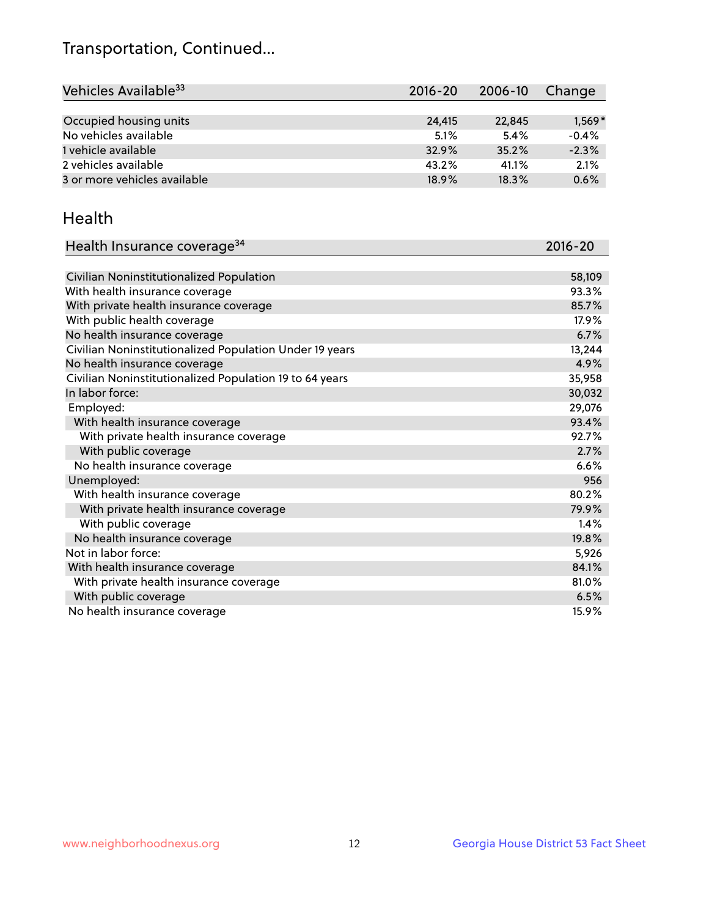## Transportation, Continued...

| Vehicles Available <sup>33</sup> | $2016 - 20$ | 2006-10 | Change   |
|----------------------------------|-------------|---------|----------|
|                                  |             |         |          |
| Occupied housing units           | 24,415      | 22,845  | $1,569*$ |
| No vehicles available            | 5.1%        | 5.4%    | $-0.4%$  |
| 1 vehicle available              | 32.9%       | 35.2%   | $-2.3%$  |
| 2 vehicles available             | 43.2%       | 41.1%   | 2.1%     |
| 3 or more vehicles available     | 18.9%       | 18.3%   | 0.6%     |

#### Health

| Health Insurance coverage <sup>34</sup>                 | 2016-20 |
|---------------------------------------------------------|---------|
|                                                         |         |
| Civilian Noninstitutionalized Population                | 58,109  |
| With health insurance coverage                          | 93.3%   |
| With private health insurance coverage                  | 85.7%   |
| With public health coverage                             | 17.9%   |
| No health insurance coverage                            | 6.7%    |
| Civilian Noninstitutionalized Population Under 19 years | 13,244  |
| No health insurance coverage                            | 4.9%    |
| Civilian Noninstitutionalized Population 19 to 64 years | 35,958  |
| In labor force:                                         | 30,032  |
| Employed:                                               | 29,076  |
| With health insurance coverage                          | 93.4%   |
| With private health insurance coverage                  | 92.7%   |
| With public coverage                                    | 2.7%    |
| No health insurance coverage                            | 6.6%    |
| Unemployed:                                             | 956     |
| With health insurance coverage                          | 80.2%   |
| With private health insurance coverage                  | 79.9%   |
| With public coverage                                    | 1.4%    |
| No health insurance coverage                            | 19.8%   |
| Not in labor force:                                     | 5,926   |
| With health insurance coverage                          | 84.1%   |
| With private health insurance coverage                  | 81.0%   |
| With public coverage                                    | 6.5%    |
| No health insurance coverage                            | 15.9%   |